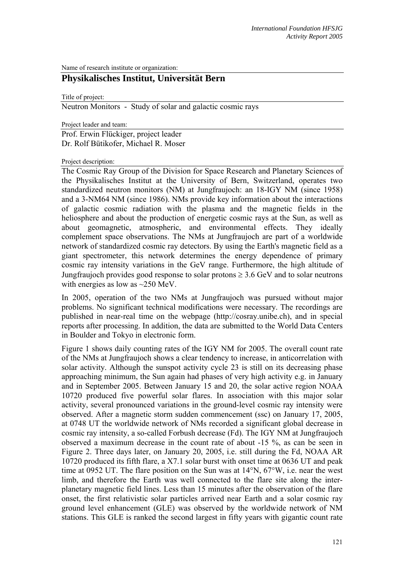Name of research institute or organization:

## **Physikalisches Institut, Universität Bern**

Title of project:

Neutron Monitors - Study of solar and galactic cosmic rays

Project leader and team:

Prof. Erwin Flückiger, project leader Dr. Rolf Bütikofer, Michael R. Moser

Project description:

The Cosmic Ray Group of the Division for Space Research and Planetary Sciences of the Physikalisches Institut at the University of Bern, Switzerland, operates two standardized neutron monitors (NM) at Jungfraujoch: an 18-IGY NM (since 1958) and a 3-NM64 NM (since 1986). NMs provide key information about the interactions of galactic cosmic radiation with the plasma and the magnetic fields in the heliosphere and about the production of energetic cosmic rays at the Sun, as well as about geomagnetic, atmospheric, and environmental effects. They ideally complement space observations. The NMs at Jungfraujoch are part of a worldwide network of standardized cosmic ray detectors. By using the Earth's magnetic field as a giant spectrometer, this network determines the energy dependence of primary cosmic ray intensity variations in the GeV range. Furthermore, the high altitude of Jungfraujoch provides good response to solar protons  $\geq 3.6$  GeV and to solar neutrons with energies as low as  $\sim$ 250 MeV.

In 2005, operation of the two NMs at Jungfraujoch was pursued without major problems. No significant technical modifications were necessary. The recordings are published in near-real time on the webpage (http://cosray.unibe.ch), and in special reports after processing. In addition, the data are submitted to the World Data Centers in Boulder and Tokyo in electronic form.

Figure 1 shows daily counting rates of the IGY NM for 2005. The overall count rate of the NMs at Jungfraujoch shows a clear tendency to increase, in anticorrelation with solar activity. Although the sunspot activity cycle 23 is still on its decreasing phase approaching minimum, the Sun again had phases of very high activity e.g. in January and in September 2005. Between January 15 and 20, the solar active region NOAA 10720 produced five powerful solar flares. In association with this major solar activity, several pronounced variations in the ground-level cosmic ray intensity were observed. After a magnetic storm sudden commencement (ssc) on January 17, 2005, at 0748 UT the worldwide network of NMs recorded a significant global decrease in cosmic ray intensity, a so-called Forbush decrease (Fd). The IGY NM at Jungfraujoch observed a maximum decrease in the count rate of about -15 %, as can be seen in Figure 2. Three days later, on January 20, 2005, i.e. still during the Fd, NOAA AR 10720 produced its fifth flare, a X7.1 solar burst with onset time at 0636 UT and peak time at 0952 UT. The flare position on the Sun was at 14°N, 67°W, i.e. near the west limb, and therefore the Earth was well connected to the flare site along the interplanetary magnetic field lines. Less than 15 minutes after the observation of the flare onset, the first relativistic solar particles arrived near Earth and a solar cosmic ray ground level enhancement (GLE) was observed by the worldwide network of NM stations. This GLE is ranked the second largest in fifty years with gigantic count rate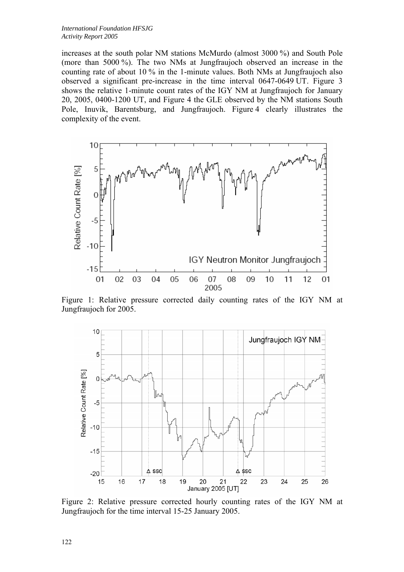increases at the south polar NM stations McMurdo (almost 3000 %) and South Pole (more than 5000 %). The two NMs at Jungfraujoch observed an increase in the counting rate of about 10 % in the 1-minute values. Both NMs at Jungfraujoch also observed a significant pre-increase in the time interval 0647-0649 UT. Figure 3 shows the relative 1-minute count rates of the IGY NM at Jungfraujoch for January 20, 2005, 0400-1200 UT, and Figure 4 the GLE observed by the NM stations South Pole, Inuvik, Barentsburg, and Jungfraujoch. Figure 4 clearly illustrates the complexity of the event.



Figure 1: Relative pressure corrected daily counting rates of the IGY NM at Jungfraujoch for 2005.



Figure 2: Relative pressure corrected hourly counting rates of the IGY NM at Jungfraujoch for the time interval 15-25 January 2005.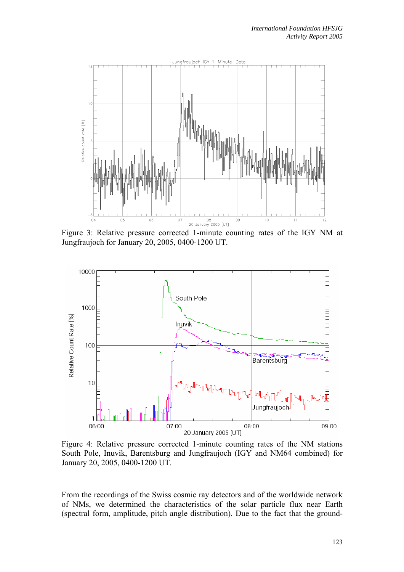

Figure 3: Relative pressure corrected 1-minute counting rates of the IGY NM at Jungfraujoch for January 20, 2005, 0400-1200 UT.



Figure 4: Relative pressure corrected 1-minute counting rates of the NM stations South Pole, Inuvik, Barentsburg and Jungfraujoch (IGY and NM64 combined) for January 20, 2005, 0400-1200 UT.

From the recordings of the Swiss cosmic ray detectors and of the worldwide network of NMs, we determined the characteristics of the solar particle flux near Earth (spectral form, amplitude, pitch angle distribution). Due to the fact that the ground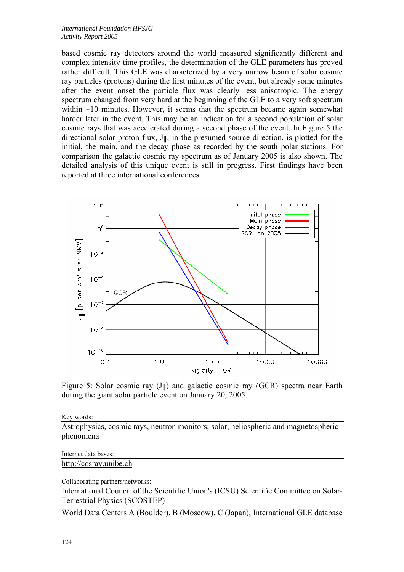based cosmic ray detectors around the world measured significantly different and complex intensity-time profiles, the determination of the GLE parameters has proved rather difficult. This GLE was characterized by a very narrow beam of solar cosmic ray particles (protons) during the first minutes of the event, but already some minutes after the event onset the particle flux was clearly less anisotropic. The energy spectrum changed from very hard at the beginning of the GLE to a very soft spectrum within  $\sim$ 10 minutes. However, it seems that the spectrum became again somewhat harder later in the event. This may be an indication for a second population of solar cosmic rays that was accelerated during a second phase of the event. In Figure 5 the directional solar proton flux,  $J_{\parallel}$ , in the presumed source direction, is plotted for the initial, the main, and the decay phase as recorded by the south polar stations. For comparison the galactic cosmic ray spectrum as of January 2005 is also shown. The detailed analysis of this unique event is still in progress. First findings have been reported at three international conferences.



Figure 5: Solar cosmic ray  $(J_{\parallel})$  and galactic cosmic ray (GCR) spectra near Earth during the giant solar particle event on January 20, 2005.

Key words:

Astrophysics, cosmic rays, neutron monitors; solar, heliospheric and magnetospheric phenomena

Internet data bases:

http://cosray.unibe.ch

Collaborating partners/networks:

International Council of the Scientific Union's (ICSU) Scientific Committee on Solar-Terrestrial Physics (SCOSTEP)

World Data Centers A (Boulder), B (Moscow), C (Japan), International GLE database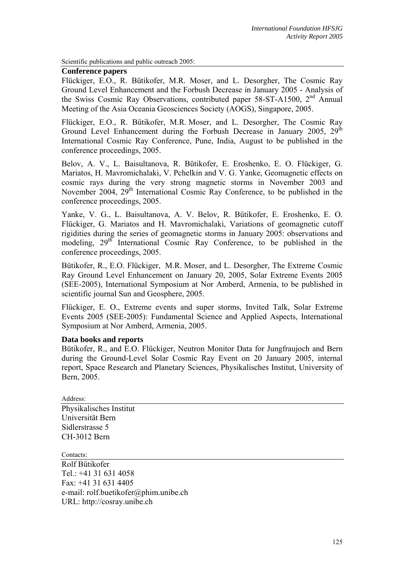Scientific publications and public outreach 2005:

## **Conference papers**

Flückiger, E.O., R. Bütikofer, M.R. Moser, and L. Desorgher, The Cosmic Ray Ground Level Enhancement and the Forbush Decrease in January 2005 - Analysis of the Swiss Cosmic Ray Observations, contributed paper 58-ST-A1500, 2<sup>nd</sup> Annual Meeting of the Asia Oceania Geosciences Society (AOGS), Singapore, 2005.

Flückiger, E.O., R. Bütikofer, M.R. Moser, and L. Desorgher, The Cosmic Ray Ground Level Enhancement during the Forbush Decrease in January 2005,  $29<sup>th</sup>$ International Cosmic Ray Conference, Pune, India, August to be published in the conference proceedings, 2005.

Belov, A. V., L. Baisultanova, R. Bütikofer, E. Eroshenko, E. O. Flückiger, G. Mariatos, H. Mavromichalaki, V. Pchelkin and V. G. Yanke, Geomagnetic effects on cosmic rays during the very strong magnetic storms in November 2003 and November 2004,  $29<sup>th</sup>$  International Cosmic Ray Conference, to be published in the conference proceedings, 2005.

Yanke, V. G., L. Baisultanova, A. V. Belov, R. Bütikofer, E. Eroshenko, E. O. Flückiger, G. Mariatos and H. Mavromichalaki, Variations of geomagnetic cutoff rigidities during the series of geomagnetic storms in January 2005: observations and modeling.  $29^{th}$  International Cosmic Ray Conference, to be published in the conference proceedings, 2005.

Bütikofer, R., E.O. Flückiger, M.R. Moser, and L. Desorgher, The Extreme Cosmic Ray Ground Level Enhancement on January 20, 2005, Solar Extreme Events 2005 (SEE-2005), International Symposium at Nor Amberd, Armenia, to be published in scientific journal Sun and Geosphere, 2005.

Flückiger, E. O., Extreme events and super storms, Invited Talk, Solar Extreme Events 2005 (SEE-2005): Fundamental Science and Applied Aspects, International Symposium at Nor Amberd, Armenia, 2005.

## **Data books and reports**

Bütikofer, R., and E.O. Flückiger, Neutron Monitor Data for Jungfraujoch and Bern during the Ground-Level Solar Cosmic Ray Event on 20 January 2005, internal report, Space Research and Planetary Sciences, Physikalisches Institut, University of Bern, 2005.

Address: Physikalisches Institut Universität Bern Sidlerstrasse 5 CH-3012 Bern

Contacts:

Rolf Bütikofer Tel.: +41 31 631 4058 Fax: +41 31 631 4405 e-mail: rolf.buetikofer@phim.unibe.ch URL: http://cosray.unibe.ch